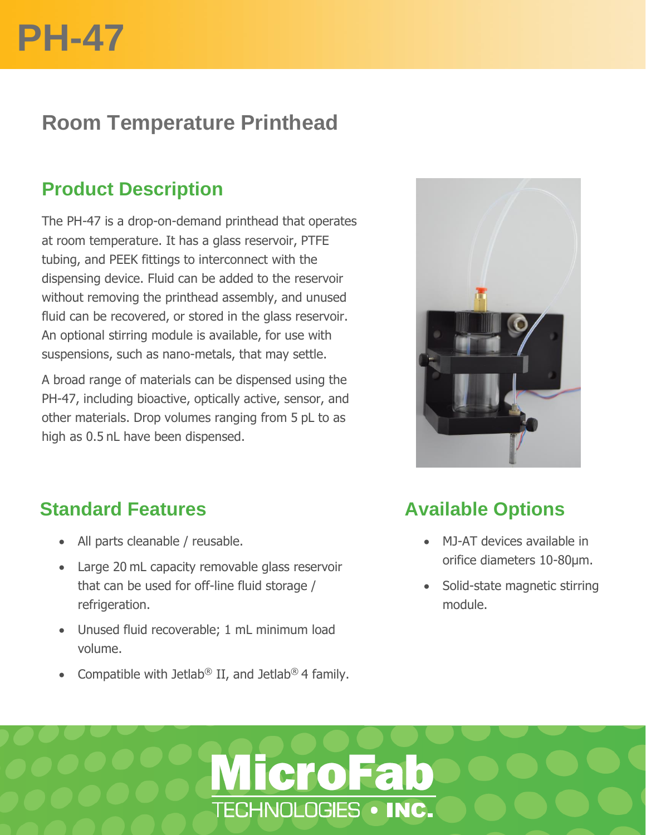

# **Room Temperature Printhead**

# **Product Description**

The PH-47 is a drop-on-demand printhead that operates at room temperature. It has a glass reservoir, PTFE tubing, and PEEK fittings to interconnect with the dispensing device. Fluid can be added to the reservoir without removing the printhead assembly, and unused fluid can be recovered, or stored in the glass reservoir. An optional stirring module is available, for use with suspensions, such as nano-metals, that may settle.

A broad range of materials can be dispensed using the PH-47, including bioactive, optically active, sensor, and other materials. Drop volumes ranging from 5 pL to as high as 0.5 nL have been dispensed.



# **Standard Features**

- All parts cleanable / reusable.
- Large 20 mL capacity removable glass reservoir that can be used for off-line fluid storage / refrigeration.
- Unused fluid recoverable; 1 mL minimum load volume.
- Compatible with Jetlab<sup>®</sup> II, and Jetlab<sup>®</sup> 4 family.

# **Available Options**

- MJ-AT devices available in orifice diameters 10-80µm.
- Solid-state magnetic stirring module.